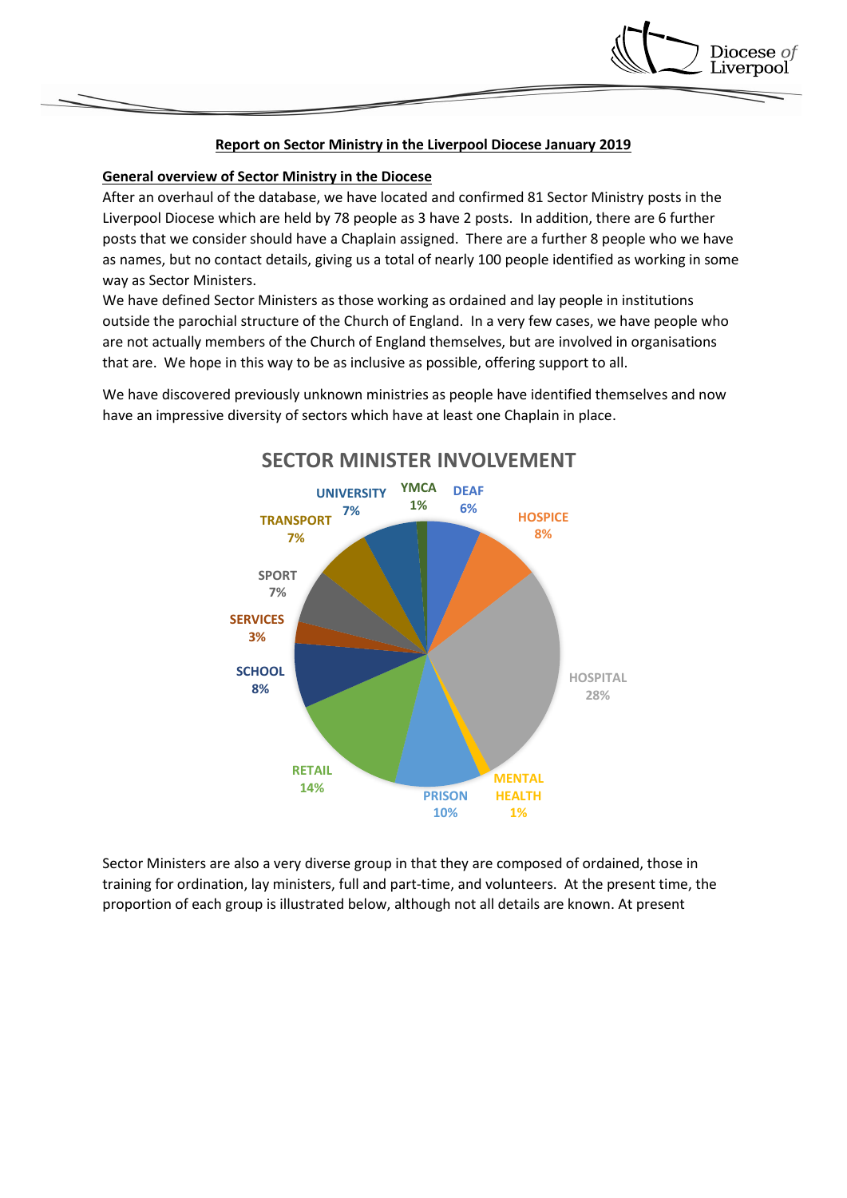## **Report on Sector Ministry in the Liverpool Diocese January 2019**

Diocese *of* \_iverpool

## **General overview of Sector Ministry in the Diocese**

After an overhaul of the database, we have located and confirmed 81 Sector Ministry posts in the Liverpool Diocese which are held by 78 people as 3 have 2 posts. In addition, there are 6 further posts that we consider should have a Chaplain assigned. There are a further 8 people who we have as names, but no contact details, giving us a total of nearly 100 people identified as working in some way as Sector Ministers.

We have defined Sector Ministers as those working as ordained and lay people in institutions outside the parochial structure of the Church of England. In a very few cases, we have people who are not actually members of the Church of England themselves, but are involved in organisations that are. We hope in this way to be as inclusive as possible, offering support to all.

We have discovered previously unknown ministries as people have identified themselves and now have an impressive diversity of sectors which have at least one Chaplain in place.



Sector Ministers are also a very diverse group in that they are composed of ordained, those in training for ordination, lay ministers, full and part-time, and volunteers. At the present time, the proportion of each group is illustrated below, although not all details are known. At present

# **SECTOR MINISTER INVOLVEMENT**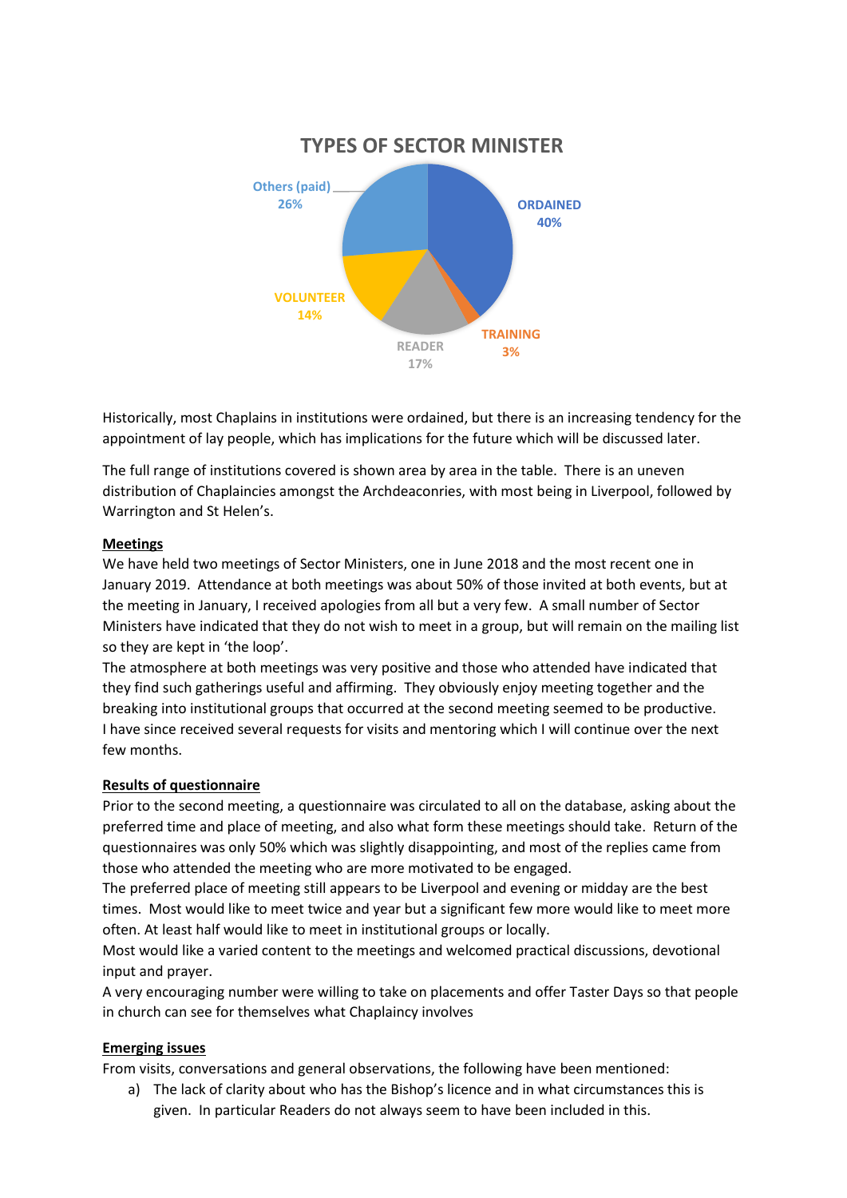

Historically, most Chaplains in institutions were ordained, but there is an increasing tendency for the appointment of lay people, which has implications for the future which will be discussed later.

The full range of institutions covered is shown area by area in the table. There is an uneven distribution of Chaplaincies amongst the Archdeaconries, with most being in Liverpool, followed by Warrington and St Helen's.

## **Meetings**

We have held two meetings of Sector Ministers, one in June 2018 and the most recent one in January 2019. Attendance at both meetings was about 50% of those invited at both events, but at the meeting in January, I received apologies from all but a very few. A small number of Sector Ministers have indicated that they do not wish to meet in a group, but will remain on the mailing list so they are kept in 'the loop'.

The atmosphere at both meetings was very positive and those who attended have indicated that they find such gatherings useful and affirming. They obviously enjoy meeting together and the breaking into institutional groups that occurred at the second meeting seemed to be productive. I have since received several requests for visits and mentoring which I will continue over the next few months.

#### **Results of questionnaire**

Prior to the second meeting, a questionnaire was circulated to all on the database, asking about the preferred time and place of meeting, and also what form these meetings should take. Return of the questionnaires was only 50% which was slightly disappointing, and most of the replies came from those who attended the meeting who are more motivated to be engaged.

The preferred place of meeting still appears to be Liverpool and evening or midday are the best times. Most would like to meet twice and year but a significant few more would like to meet more often. At least half would like to meet in institutional groups or locally.

Most would like a varied content to the meetings and welcomed practical discussions, devotional input and prayer.

A very encouraging number were willing to take on placements and offer Taster Days so that people in church can see for themselves what Chaplaincy involves

#### **Emerging issues**

From visits, conversations and general observations, the following have been mentioned:

a) The lack of clarity about who has the Bishop's licence and in what circumstances this is given. In particular Readers do not always seem to have been included in this.